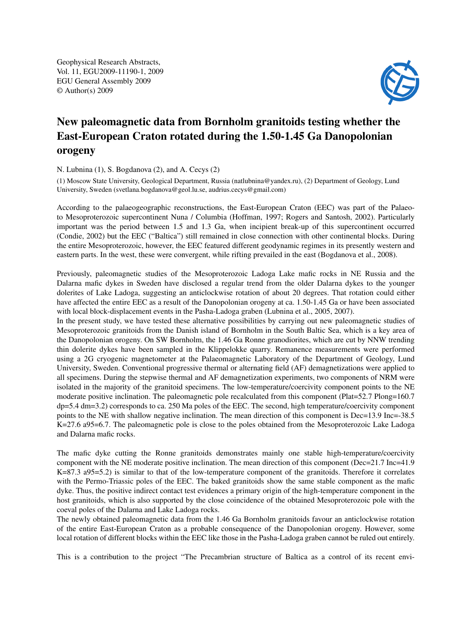Geophysical Research Abstracts, Vol. 11, EGU2009-11190-1, 2009 EGU General Assembly 2009 © Author(s) 2009



## New paleomagnetic data from Bornholm granitoids testing whether the East-European Craton rotated during the 1.50-1.45 Ga Danopolonian orogeny

N. Lubnina (1), S. Bogdanova (2), and A. Cecys (2)

(1) Moscow State University, Geological Department, Russia (natlubnina@yandex.ru), (2) Department of Geology, Lund University, Sweden (svetlana.bogdanova@geol.lu.se, audrius.cecys@gmail.com)

According to the palaeogeographic reconstructions, the East-European Craton (EEC) was part of the Palaeoto Mesoproterozoic supercontinent Nuna / Columbia (Hoffman, 1997; Rogers and Santosh, 2002). Particularly important was the period between 1.5 and 1.3 Ga, when incipient break-up of this supercontinent occurred (Condie, 2002) but the EEC ("Baltica") still remained in close connection with other continental blocks. During the entire Mesoproterozoic, however, the EEC featured different geodynamic regimes in its presently western and eastern parts. In the west, these were convergent, while rifting prevailed in the east (Bogdanova et al., 2008).

Previously, paleomagnetic studies of the Mesoproterozoic Ladoga Lake mafic rocks in NE Russia and the Dalarna mafic dykes in Sweden have disclosed a regular trend from the older Dalarna dykes to the younger dolerites of Lake Ladoga, suggesting an anticlockwise rotation of about 20 degrees. That rotation could either have affected the entire EEC as a result of the Danopolonian orogeny at ca. 1.50-1.45 Ga or have been associated with local block-displacement events in the Pasha-Ladoga graben (Lubnina et al., 2005, 2007).

In the present study, we have tested these alternative possibilities by carrying out new paleomagnetic studies of Mesoproterozoic granitoids from the Danish island of Bornholm in the South Baltic Sea, which is a key area of the Danopolonian orogeny. On SW Bornholm, the 1.46 Ga Ronne granodiorites, which are cut by NNW trending thin dolerite dykes have been sampled in the Klippelokke quarry. Remanence measurements were performed using a 2G cryogenic magnetometer at the Palaeomagnetic Laboratory of the Department of Geology, Lund University, Sweden. Conventional progressive thermal or alternating field (AF) demagnetizations were applied to all specimens. During the stepwise thermal and AF demagnetization experiments, two components of NRM were isolated in the majority of the granitoid specimens. The low-temperature/coercivity component points to the NE moderate positive inclination. The paleomagnetic pole recalculated from this component (Plat=52.7 Plong=160.7 dp=5.4 dm=3.2) corresponds to ca. 250 Ma poles of the EEC. The second, high temperature/coercivity component points to the NE with shallow negative inclination. The mean direction of this component is Dec=13.9 Inc=-38.5 K=27.6 a95=6.7. The paleomagnetic pole is close to the poles obtained from the Mesoproterozoic Lake Ladoga and Dalarna mafic rocks.

The mafic dyke cutting the Ronne granitoids demonstrates mainly one stable high-temperature/coercivity component with the NE moderate positive inclination. The mean direction of this component (Dec=21.7 Inc=41.9 K=87.3 a95=5.2) is similar to that of the low-temperature component of the granitoids. Therefore it correlates with the Permo-Triassic poles of the EEC. The baked granitoids show the same stable component as the mafic dyke. Thus, the positive indirect contact test evidences a primary origin of the high-temperature component in the host granitoids, which is also supported by the close coincidence of the obtained Mesoproterozoic pole with the coeval poles of the Dalarna and Lake Ladoga rocks.

The newly obtained paleomagnetic data from the 1.46 Ga Bornholm granitoids favour an anticlockwise rotation of the entire East-European Craton as a probable consequence of the Danopolonian orogeny. However, some local rotation of different blocks within the EEC like those in the Pasha-Ladoga graben cannot be ruled out entirely.

This is a contribution to the project "The Precambrian structure of Baltica as a control of its recent envi-